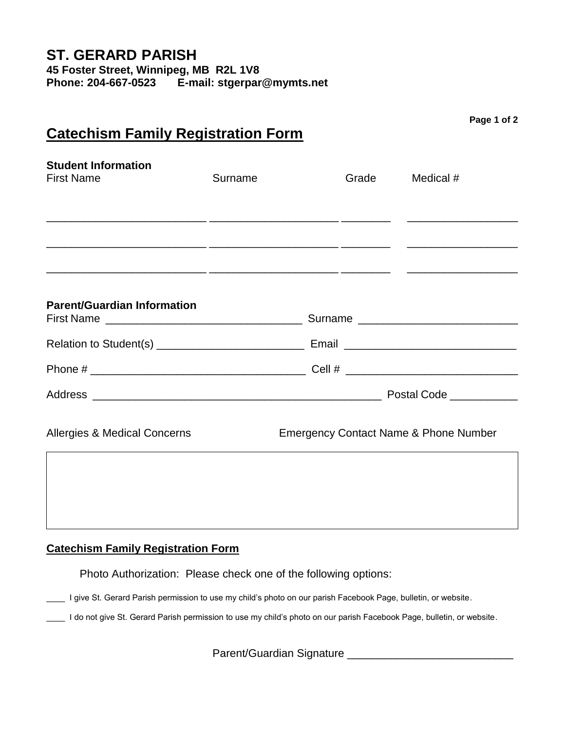| <u>Catechism Family Registration Form</u>       |                                                  |  |       |           | Page 1 or 2 |
|-------------------------------------------------|--------------------------------------------------|--|-------|-----------|-------------|
| <b>Student Information</b><br><b>First Name</b> | Surname                                          |  | Grade | Medical # |             |
|                                                 |                                                  |  |       |           |             |
| <b>Parent/Guardian Information</b>              |                                                  |  |       |           |             |
|                                                 |                                                  |  |       |           |             |
|                                                 |                                                  |  |       |           |             |
|                                                 |                                                  |  |       |           |             |
| <b>Allergies &amp; Medical Concerns</b>         | <b>Emergency Contact Name &amp; Phone Number</b> |  |       |           |             |
|                                                 |                                                  |  |       |           |             |

# **Catechism Family Registration Form**

Photo Authorization: Please check one of the following options:

\_\_\_\_ I give St. Gerard Parish permission to use my child's photo on our parish Facebook Page, bulletin, or website.

Letter on our give St. Gerard Parish permission to use my child's photo on our parish Facebook Page, bulletin, or website.

Parent/Guardian Signature \_\_\_\_\_\_\_\_\_\_\_\_\_\_\_\_\_\_\_\_\_\_\_\_\_\_\_

**Page 1 of 2**